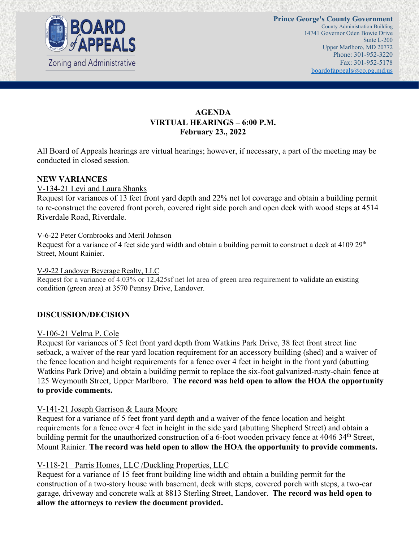

# **AGENDA VIRTUAL HEARINGS – 6:00 P.M. February 23., 2022**

All Board of Appeals hearings are virtual hearings; however, if necessary, a part of the meeting may be conducted in closed session.

#### **NEW VARIANCES**

#### V-134-21 Levi and Laura Shanks

Request for variances of 13 feet front yard depth and 22% net lot coverage and obtain a building permit to re-construct the covered front porch, covered right side porch and open deck with wood steps at 4514 Riverdale Road, Riverdale.

#### V-6-22 Peter Cornbrooks and Meril Johnson

Request for a variance of 4 feet side yard width and obtain a building permit to construct a deck at 4109 29<sup>th</sup> Street, Mount Rainier.

#### V-9-22 Landover Beverage Realty, LLC

Request for a variance of 4.03% or 12,425sf net lot area of green area requirement to validate an existing condition (green area) at 3570 Pennsy Drive, Landover.

#### **DISCUSSION/DECISION**

#### V-106-21 Velma P. Cole

Request for variances of 5 feet front yard depth from Watkins Park Drive, 38 feet front street line setback, a waiver of the rear yard location requirement for an accessory building (shed) and a waiver of the fence location and height requirements for a fence over 4 feet in height in the front yard (abutting Watkins Park Drive) and obtain a building permit to replace the six-foot galvanized-rusty-chain fence at 125 Weymouth Street, Upper Marlboro. **The record was held open to allow the HOA the opportunity to provide comments.**

#### V-141-21 Joseph Garrison & Laura Moore

Request for a variance of 5 feet front yard depth and a waiver of the fence location and height requirements for a fence over 4 feet in height in the side yard (abutting Shepherd Street) and obtain a building permit for the unauthorized construction of a 6-foot wooden privacy fence at 4046 34<sup>th</sup> Street, Mount Rainier. **The record was held open to allow the HOA the opportunity to provide comments.**

## V-118-21 Parris Homes, LLC /Duckling Properties, LLC

Request for a variance of 15 feet front building line width and obtain a building permit for the construction of a two-story house with basement, deck with steps, covered porch with steps, a two-car garage, driveway and concrete walk at 8813 Sterling Street, Landover. **The record was held open to allow the attorneys to review the document provided.**